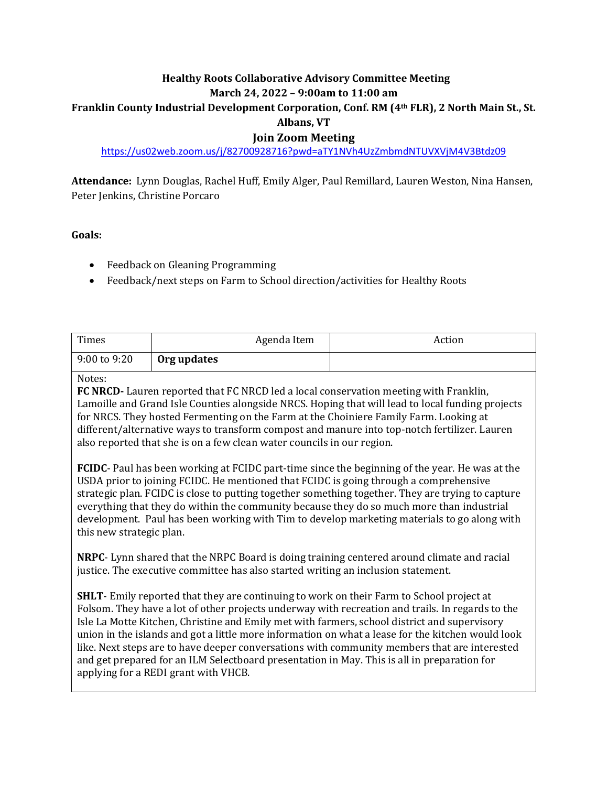### **Healthy Roots Collaborative Advisory Committee Meeting March 24, 2022 – 9:00am to 11:00 am**

# **Franklin County Industrial Development Corporation, Conf. RM (4th FLR), 2 North Main St., St.**

## **Albans, VT**

## **Join Zoom Meeting**

## <https://us02web.zoom.us/j/82700928716?pwd=aTY1NVh4UzZmbmdNTUVXVjM4V3Btdz09>

**Attendance:** Lynn Douglas, Rachel Huff, Emily Alger, Paul Remillard, Lauren Weston, Nina Hansen, Peter Jenkins, Christine Porcaro

#### **Goals:**

- Feedback on Gleaning Programming
- Feedback/next steps on Farm to School direction/activities for Healthy Roots

| Times        | Agenda Item | Action |
|--------------|-------------|--------|
| 9:00 to 9:20 | Org updates |        |

#### Notes:

**FC NRCD-** Lauren reported that FC NRCD led a local conservation meeting with Franklin, Lamoille and Grand Isle Counties alongside NRCS. Hoping that will lead to local funding projects for NRCS. They hosted Fermenting on the Farm at the Choiniere Family Farm. Looking at different/alternative ways to transform compost and manure into top-notch fertilizer. Lauren also reported that she is on a few clean water councils in our region.

**FCIDC**- Paul has been working at FCIDC part-time since the beginning of the year. He was at the USDA prior to joining FCIDC. He mentioned that FCIDC is going through a comprehensive strategic plan. FCIDC is close to putting together something together. They are trying to capture everything that they do within the community because they do so much more than industrial development. Paul has been working with Tim to develop marketing materials to go along with this new strategic plan.

**NRPC**- Lynn shared that the NRPC Board is doing training centered around climate and racial justice. The executive committee has also started writing an inclusion statement.

**SHLT**- Emily reported that they are continuing to work on their Farm to School project at Folsom. They have a lot of other projects underway with recreation and trails. In regards to the Isle La Motte Kitchen, Christine and Emily met with farmers, school district and supervisory union in the islands and got a little more information on what a lease for the kitchen would look like. Next steps are to have deeper conversations with community members that are interested and get prepared for an ILM Selectboard presentation in May. This is all in preparation for applying for a REDI grant with VHCB.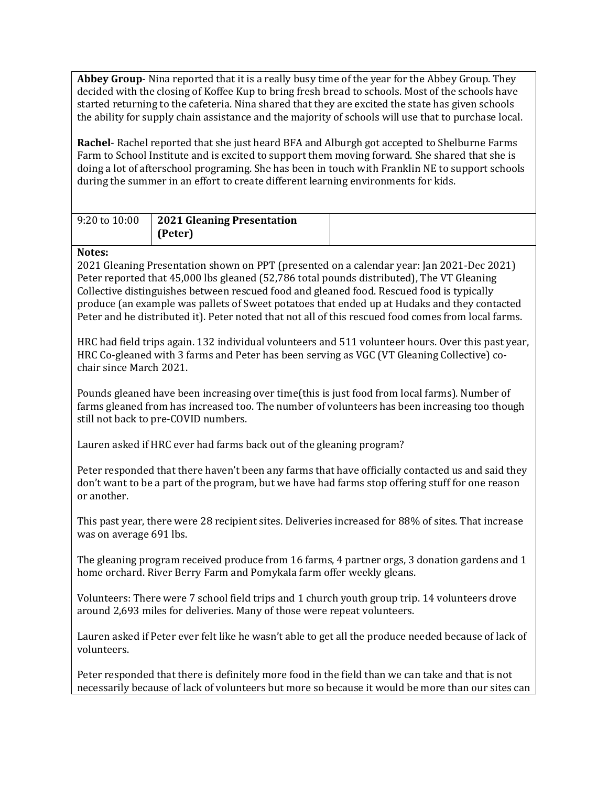**Abbey Group**- Nina reported that it is a really busy time of the year for the Abbey Group. They decided with the closing of Koffee Kup to bring fresh bread to schools. Most of the schools have started returning to the cafeteria. Nina shared that they are excited the state has given schools the ability for supply chain assistance and the majority of schools will use that to purchase local.

**Rachel**- Rachel reported that she just heard BFA and Alburgh got accepted to Shelburne Farms Farm to School Institute and is excited to support them moving forward. She shared that she is doing a lot of afterschool programing. She has been in touch with Franklin NE to support schools during the summer in an effort to create different learning environments for kids.

| $9:20 \text{ to } 10:00$ | 2021 Gleaning Presentation |  |
|--------------------------|----------------------------|--|
|                          | (Peter)                    |  |

### **Notes:**

2021 Gleaning Presentation shown on PPT (presented on a calendar year: Jan 2021-Dec 2021) Peter reported that 45,000 lbs gleaned (52,786 total pounds distributed), The VT Gleaning Collective distinguishes between rescued food and gleaned food. Rescued food is typically produce (an example was pallets of Sweet potatoes that ended up at Hudaks and they contacted Peter and he distributed it). Peter noted that not all of this rescued food comes from local farms.

HRC had field trips again. 132 individual volunteers and 511 volunteer hours. Over this past year, HRC Co-gleaned with 3 farms and Peter has been serving as VGC (VT Gleaning Collective) cochair since March 2021.

Pounds gleaned have been increasing over time(this is just food from local farms). Number of farms gleaned from has increased too. The number of volunteers has been increasing too though still not back to pre-COVID numbers.

Lauren asked if HRC ever had farms back out of the gleaning program?

Peter responded that there haven't been any farms that have officially contacted us and said they don't want to be a part of the program, but we have had farms stop offering stuff for one reason or another.

This past year, there were 28 recipient sites. Deliveries increased for 88% of sites. That increase was on average 691 lbs.

The gleaning program received produce from 16 farms, 4 partner orgs, 3 donation gardens and 1 home orchard. River Berry Farm and Pomykala farm offer weekly gleans.

Volunteers: There were 7 school field trips and 1 church youth group trip. 14 volunteers drove around 2,693 miles for deliveries. Many of those were repeat volunteers.

Lauren asked if Peter ever felt like he wasn't able to get all the produce needed because of lack of volunteers.

Peter responded that there is definitely more food in the field than we can take and that is not necessarily because of lack of volunteers but more so because it would be more than our sites can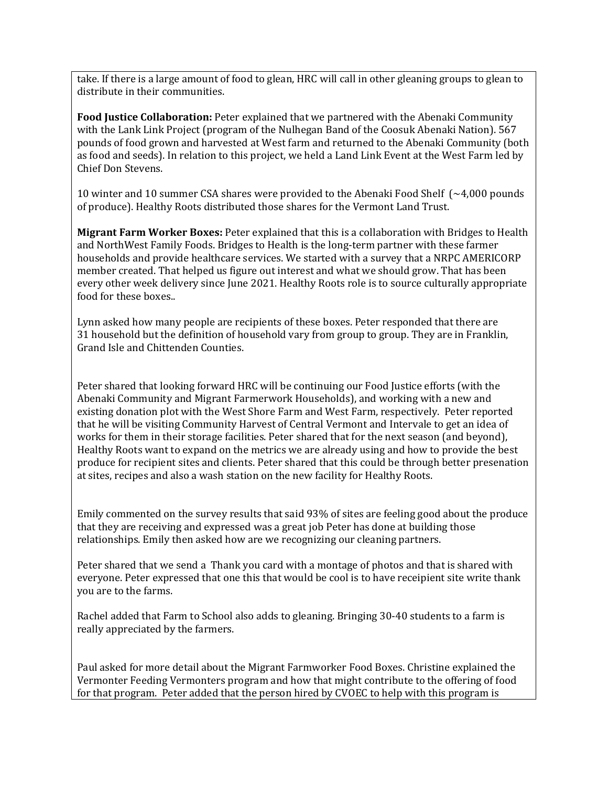take. If there is a large amount of food to glean, HRC will call in other gleaning groups to glean to distribute in their communities.

**Food Justice Collaboration:** Peter explained that we partnered with the Abenaki Community with the Lank Link Project (program of the Nulhegan Band of the Coosuk Abenaki Nation). 567 pounds of food grown and harvested at West farm and returned to the Abenaki Community (both as food and seeds). In relation to this project, we held a Land Link Event at the West Farm led by Chief Don Stevens.

10 winter and 10 summer CSA shares were provided to the Abenaki Food Shelf (~4,000 pounds of produce). Healthy Roots distributed those shares for the Vermont Land Trust.

**Migrant Farm Worker Boxes:** Peter explained that this is a collaboration with Bridges to Health and NorthWest Family Foods. Bridges to Health is the long-term partner with these farmer households and provide healthcare services. We started with a survey that a NRPC AMERICORP member created. That helped us figure out interest and what we should grow. That has been every other week delivery since June 2021. Healthy Roots role is to source culturally appropriate food for these boxes..

Lynn asked how many people are recipients of these boxes. Peter responded that there are 31 household but the definition of household vary from group to group. They are in Franklin, Grand Isle and Chittenden Counties.

Peter shared that looking forward HRC will be continuing our Food Justice efforts (with the Abenaki Community and Migrant Farmerwork Households), and working with a new and existing donation plot with the West Shore Farm and West Farm, respectively. Peter reported that he will be visiting Community Harvest of Central Vermont and Intervale to get an idea of works for them in their storage facilities. Peter shared that for the next season (and beyond), Healthy Roots want to expand on the metrics we are already using and how to provide the best produce for recipient sites and clients. Peter shared that this could be through better presenation at sites, recipes and also a wash station on the new facility for Healthy Roots.

Emily commented on the survey results that said 93% of sites are feeling good about the produce that they are receiving and expressed was a great job Peter has done at building those relationships. Emily then asked how are we recognizing our cleaning partners.

Peter shared that we send a Thank you card with a montage of photos and that is shared with everyone. Peter expressed that one this that would be cool is to have receipient site write thank you are to the farms.

Rachel added that Farm to School also adds to gleaning. Bringing 30-40 students to a farm is really appreciated by the farmers.

Paul asked for more detail about the Migrant Farmworker Food Boxes. Christine explained the Vermonter Feeding Vermonters program and how that might contribute to the offering of food for that program. Peter added that the person hired by CVOEC to help with this program is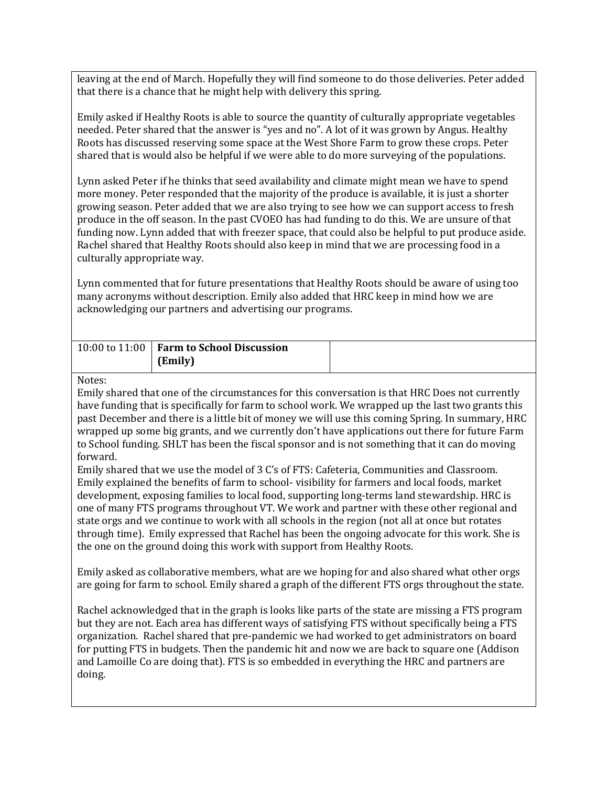leaving at the end of March. Hopefully they will find someone to do those deliveries. Peter added that there is a chance that he might help with delivery this spring.

Emily asked if Healthy Roots is able to source the quantity of culturally appropriate vegetables needed. Peter shared that the answer is "yes and no". A lot of it was grown by Angus. Healthy Roots has discussed reserving some space at the West Shore Farm to grow these crops. Peter shared that is would also be helpful if we were able to do more surveying of the populations.

Lynn asked Peter if he thinks that seed availability and climate might mean we have to spend more money. Peter responded that the majority of the produce is available, it is just a shorter growing season. Peter added that we are also trying to see how we can support access to fresh produce in the off season. In the past CVOEO has had funding to do this. We are unsure of that funding now. Lynn added that with freezer space, that could also be helpful to put produce aside. Rachel shared that Healthy Roots should also keep in mind that we are processing food in a culturally appropriate way.

Lynn commented that for future presentations that Healthy Roots should be aware of using too many acronyms without description. Emily also added that HRC keep in mind how we are acknowledging our partners and advertising our programs.

| 10:00 to 11:00 <b>Farm to School Discussion</b> |  |
|-------------------------------------------------|--|
| (Emily)                                         |  |

#### Notes:

Emily shared that one of the circumstances for this conversation is that HRC Does not currently have funding that is specifically for farm to school work. We wrapped up the last two grants this past December and there is a little bit of money we will use this coming Spring. In summary, HRC wrapped up some big grants, and we currently don't have applications out there for future Farm to School funding. SHLT has been the fiscal sponsor and is not something that it can do moving forward.

Emily shared that we use the model of 3 C's of FTS: Cafeteria, Communities and Classroom. Emily explained the benefits of farm to school- visibility for farmers and local foods, market development, exposing families to local food, supporting long-terms land stewardship. HRC is one of many FTS programs throughout VT. We work and partner with these other regional and state orgs and we continue to work with all schools in the region (not all at once but rotates through time). Emily expressed that Rachel has been the ongoing advocate for this work. She is the one on the ground doing this work with support from Healthy Roots.

Emily asked as collaborative members, what are we hoping for and also shared what other orgs are going for farm to school. Emily shared a graph of the different FTS orgs throughout the state.

Rachel acknowledged that in the graph is looks like parts of the state are missing a FTS program but they are not. Each area has different ways of satisfying FTS without specifically being a FTS organization. Rachel shared that pre-pandemic we had worked to get administrators on board for putting FTS in budgets. Then the pandemic hit and now we are back to square one (Addison and Lamoille Co are doing that). FTS is so embedded in everything the HRC and partners are doing.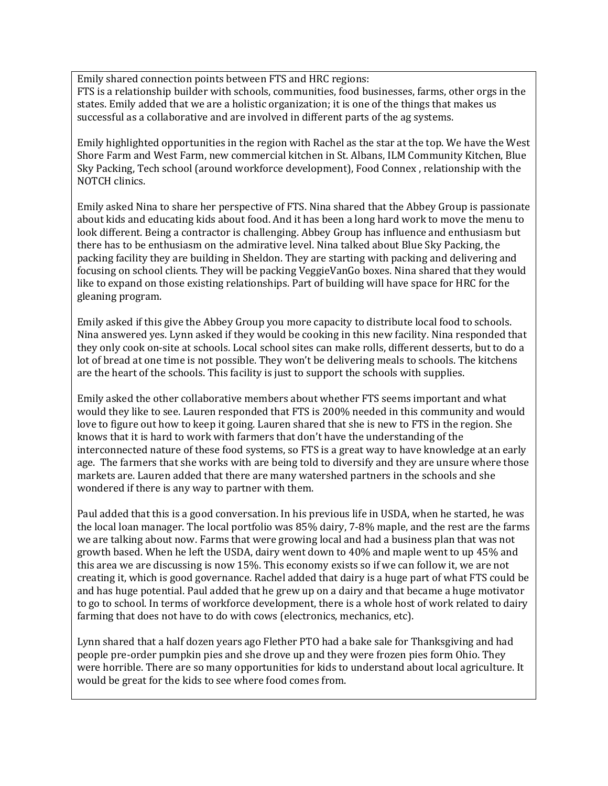Emily shared connection points between FTS and HRC regions:

FTS is a relationship builder with schools, communities, food businesses, farms, other orgs in the states. Emily added that we are a holistic organization; it is one of the things that makes us successful as a collaborative and are involved in different parts of the ag systems.

Emily highlighted opportunities in the region with Rachel as the star at the top. We have the West Shore Farm and West Farm, new commercial kitchen in St. Albans, ILM Community Kitchen, Blue Sky Packing, Tech school (around workforce development), Food Connex , relationship with the NOTCH clinics.

Emily asked Nina to share her perspective of FTS. Nina shared that the Abbey Group is passionate about kids and educating kids about food. And it has been a long hard work to move the menu to look different. Being a contractor is challenging. Abbey Group has influence and enthusiasm but there has to be enthusiasm on the admirative level. Nina talked about Blue Sky Packing, the packing facility they are building in Sheldon. They are starting with packing and delivering and focusing on school clients. They will be packing VeggieVanGo boxes. Nina shared that they would like to expand on those existing relationships. Part of building will have space for HRC for the gleaning program.

Emily asked if this give the Abbey Group you more capacity to distribute local food to schools. Nina answered yes. Lynn asked if they would be cooking in this new facility. Nina responded that they only cook on-site at schools. Local school sites can make rolls, different desserts, but to do a lot of bread at one time is not possible. They won't be delivering meals to schools. The kitchens are the heart of the schools. This facility is just to support the schools with supplies.

Emily asked the other collaborative members about whether FTS seems important and what would they like to see. Lauren responded that FTS is 200% needed in this community and would love to figure out how to keep it going. Lauren shared that she is new to FTS in the region. She knows that it is hard to work with farmers that don't have the understanding of the interconnected nature of these food systems, so FTS is a great way to have knowledge at an early age. The farmers that she works with are being told to diversify and they are unsure where those markets are. Lauren added that there are many watershed partners in the schools and she wondered if there is any way to partner with them.

Paul added that this is a good conversation. In his previous life in USDA, when he started, he was the local loan manager. The local portfolio was 85% dairy, 7-8% maple, and the rest are the farms we are talking about now. Farms that were growing local and had a business plan that was not growth based. When he left the USDA, dairy went down to 40% and maple went to up 45% and this area we are discussing is now 15%. This economy exists so if we can follow it, we are not creating it, which is good governance. Rachel added that dairy is a huge part of what FTS could be and has huge potential. Paul added that he grew up on a dairy and that became a huge motivator to go to school. In terms of workforce development, there is a whole host of work related to dairy farming that does not have to do with cows (electronics, mechanics, etc).

Lynn shared that a half dozen years ago Flether PTO had a bake sale for Thanksgiving and had people pre-order pumpkin pies and she drove up and they were frozen pies form Ohio. They were horrible. There are so many opportunities for kids to understand about local agriculture. It would be great for the kids to see where food comes from.